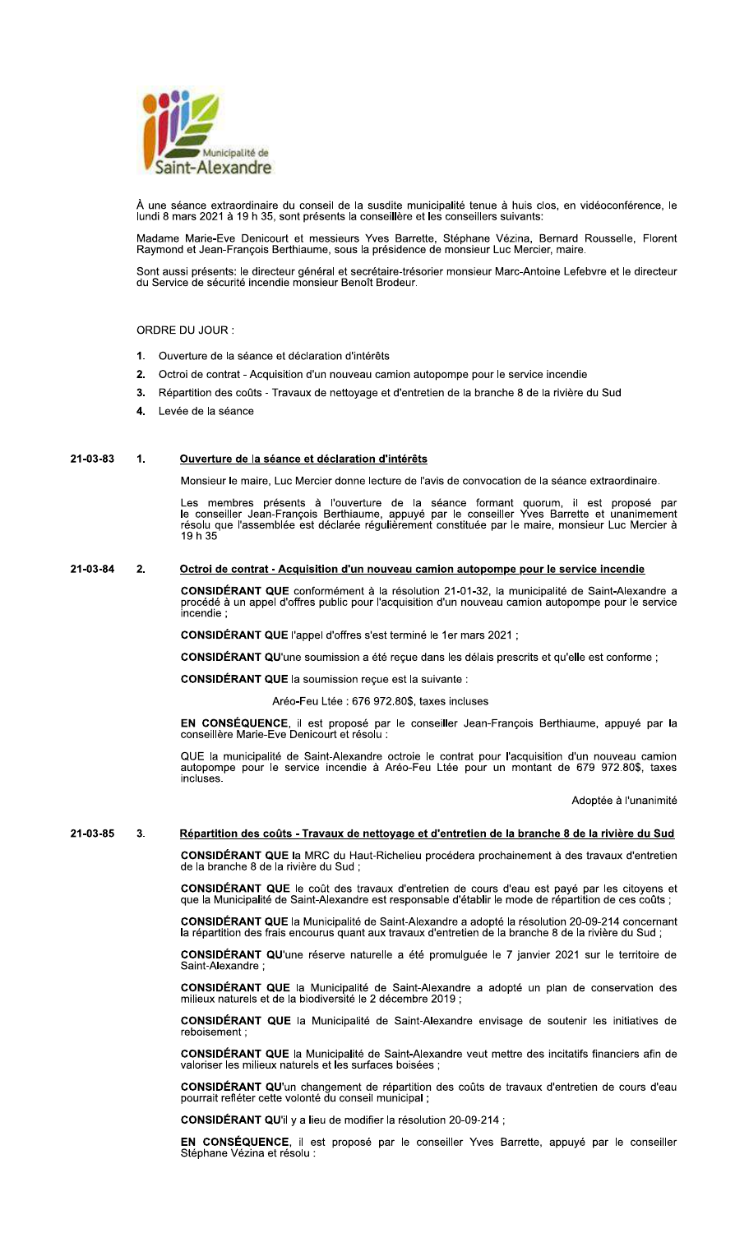

À une séance extraordinaire du conseil de la susdite municipalité tenue à huis clos, en vidéoconférence, le lundi 8 mars 2021 à 19 h 35, sont présents la conseillère et les conseillers suivants:

Madame Marie-Eve Denicourt et messieurs Yves Barrette, Stéphane Vézina, Bernard Rousselle, Florent<br>Raymond et Jean-François Berthiaume, sous la présidence de monsieur Luc Mercier, maire.

Sont aussi présents: le directeur général et secrétaire-trésorier monsieur Marc-Antoine Lefebvre et le directeur du Service de sécurité incendie monsieur Benoît Brodeur.

ORDRE DU JOUR :

- 1. Ouverture de la séance et déclaration d'intérêts
- 2. Octroi de contrat Acquisition d'un nouveau camion autopompe pour le service incendie
- Répartition des coûts Travaux de nettoyage et d'entretien de la branche 8 de la rivière du Sud  $3<sub>1</sub>$
- Levée de la séance

## 21-03-83  $\blacktriangleleft$ Ouverture de la séance et déclaration d'intérêts

Monsieur le maire. Luc Mercier donne lecture de l'avis de convocation de la séance extraordinaire.

Les membres présents à l'ouverture de la séance formant quorum, il est proposé par<br>le conseiller Jean-François Berthiaume, appuyé par le conseiller Yves Barrette et unanimement résolu que l'assemblée est déclarée régulièrement constituée par le maire, monsieur Luc Mercier à 19 h 35

## 21-03-84  $2<sub>1</sub>$ <u>Octroi de contrat - Acquisition d'un nouveau camion autopompe pour le service incendie</u>

CONSIDÉRANT QUE conformément à la résolution 21-01-32, la municipalité de Saint-Alexandre a procédé à un appel d'offres public pour l'acquisition d'un nouveau camion autopompe pour le service<br>incendie ;

CONSIDÉRANT QUE l'appel d'offres s'est terminé le 1er mars 2021 ;

CONSIDÉRANT QU'une soumission a été reçue dans les délais prescrits et qu'elle est conforme ;

**CONSIDÉRANT QUE la soumission recue est la suivante :** 

Aréo-Feu Ltée : 676 972.80\$, taxes incluses

EN CONSÉQUENCE, il est proposé par le conseiller Jean-François Berthiaume, appuyé par la conseillère Marie-Eve Denicourt et résolu :

QUE la municipalité de Saint-Alexandre octroie le contrat pour l'acquisition d'un nouveau camion autopompe pour le service incendie à Aréo-Feu Ltée pour un montant de 679 972.80\$, taxes incluses.

Adoptée à l'unanimité

## 21-03-85  $3.$ Répartition des coûts - Travaux de nettoyage et d'entretien de la branche 8 de la rivière du Sud

CONSIDÉRANT QUE la MRC du Haut-Richelieu procédera prochainement à des travaux d'entretien de la branche 8 de la rivière du Sud;

CONSIDÉRANT QUE le coût des travaux d'entretien de cours d'eau est payé par les citoyens et que la Municipalité de Saint-Alexandre est responsable d'établir le mode de répartition de ces coûts ;

**CONSIDÉRANT QUE** la Municipalité de Saint-Alexandre a adopté la résolution 20-09-214 concernant la répartition des frais encourus quant aux travaux d'entretien de la branche 8 de la rivière du Sud;

**CONSIDÉRANT QU**'une réserve naturelle a été promulquée le 7 janvier 2021 sur le territoire de Saint-Alexandre:

**CONSIDÉRANT QUE** la Municipalité de Saint-Alexandre a adopté un plan de conservation des milieux naturels et de la biodiversité le 2 décembre 2019 ;

CONSIDÉRANT QUE la Municipalité de Saint-Alexandre envisage de soutenir les initiatives de reboisement

CONSIDÉRANT QUE la Municipalité de Saint-Alexandre veut mettre des incitatifs financiers afin de valoriser les milieux naturels et les surfaces boisées ;

**CONSIDÉRANT QU'**un changement de répartition des coûts de travaux d'entretien de cours d'eau pourrait refléter cette volonté du conseil municipal ;

CONSIDÉRANT QU'il y a lieu de modifier la résolution 20-09-214 ;

EN CONSÉQUENCE, il est proposé par le conseiller Yves Barrette, appuyé par le conseiller Stéphane Vézina et résolu :